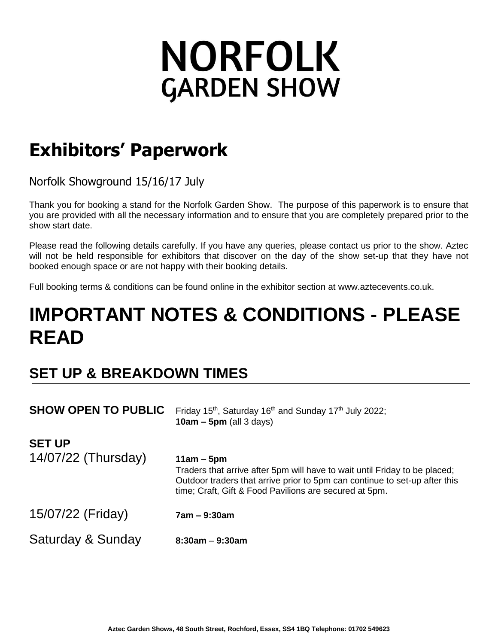# **NORFOLK GARDEN SHOW**

## **Exhibitors' Paperwork**

Norfolk Showground 15/16/17 July 

Thank you for booking a stand for the Norfolk Garden Show. The purpose of this paperwork is to ensure that you are provided with all the necessary information and to ensure that you are completely prepared prior to the show start date.

Please read the following details carefully. If you have any queries, please contact us prior to the show. Aztec will not be held responsible for exhibitors that discover on the day of the show set-up that they have not booked enough space or are not happy with their booking details.

Full booking terms & conditions can be found online in the exhibitor section at www.aztecevents.co.uk.

## **IMPORTANT NOTES & CONDITIONS - PLEASE READ**

### **SET UP & BREAKDOWN TIMES**

| <b>SHOW OPEN TO PUBLIC</b>           | Friday 15 <sup>th</sup> , Saturday 16 <sup>th</sup> and Sunday 17 <sup>th</sup> July 2022;<br>$10am - 5pm$ (all 3 days)                                                                                                            |
|--------------------------------------|------------------------------------------------------------------------------------------------------------------------------------------------------------------------------------------------------------------------------------|
| <b>SET UP</b><br>14/07/22 (Thursday) | $11am - 5pm$<br>Traders that arrive after 5pm will have to wait until Friday to be placed;<br>Outdoor traders that arrive prior to 5pm can continue to set-up after this<br>time; Craft, Gift & Food Pavilions are secured at 5pm. |
| 15/07/22 (Friday)                    | $7am - 9:30am$                                                                                                                                                                                                                     |
| Saturday & Sunday                    | $8:30$ am $-9:30$ am                                                                                                                                                                                                               |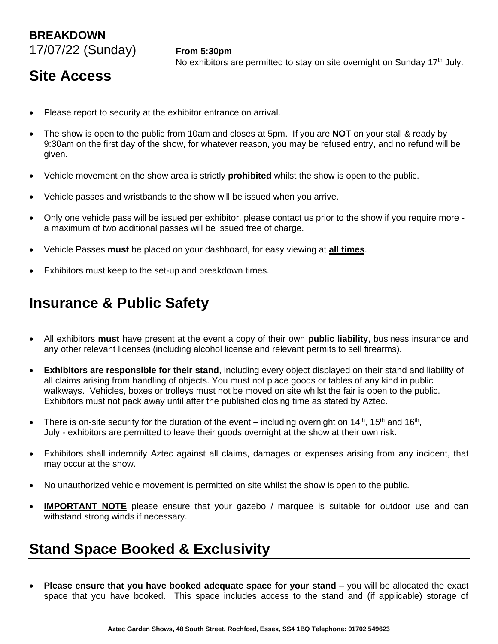#### **BREAKDOWN** 17/07/22 (Sunday) **From 5:30pm**

#### **Site Access**

- Please report to security at the exhibitor entrance on arrival.
- The show is open to the public from 10am and closes at 5pm. If you are **NOT** on your stall & ready by 9:30am on the first day of the show, for whatever reason, you may be refused entry, and no refund will be given.
- Vehicle movement on the show area is strictly **prohibited** whilst the show is open to the public.
- Vehicle passes and wristbands to the show will be issued when you arrive.
- Only one vehicle pass will be issued per exhibitor, please contact us prior to the show if you require more a maximum of two additional passes will be issued free of charge.
- Vehicle Passes **must** be placed on your dashboard, for easy viewing at **all times**.
- Exhibitors must keep to the set-up and breakdown times.

#### **Insurance & Public Safety**

- All exhibitors **must** have present at the event a copy of their own **public liability**, business insurance and any other relevant licenses (including alcohol license and relevant permits to sell firearms).
- **Exhibitors are responsible for their stand**, including every object displayed on their stand and liability of all claims arising from handling of objects. You must not place goods or tables of any kind in public walkways. Vehicles, boxes or trolleys must not be moved on site whilst the fair is open to the public. Exhibitors must not pack away until after the published closing time as stated by Aztec.
- There is on-site security for the duration of the event including overnight on 14<sup>th</sup>, 15<sup>th</sup> and 16<sup>th</sup>, July - exhibitors are permitted to leave their goods overnight at the show at their own risk.
- Exhibitors shall indemnify Aztec against all claims, damages or expenses arising from any incident, that may occur at the show.
- No unauthorized vehicle movement is permitted on site whilst the show is open to the public.
- **IMPORTANT NOTE** please ensure that your gazebo / marquee is suitable for outdoor use and can withstand strong winds if necessary.

#### **Stand Space Booked & Exclusivity**

• **Please ensure that you have booked adequate space for your stand** – you will be allocated the exact space that you have booked. This space includes access to the stand and (if applicable) storage of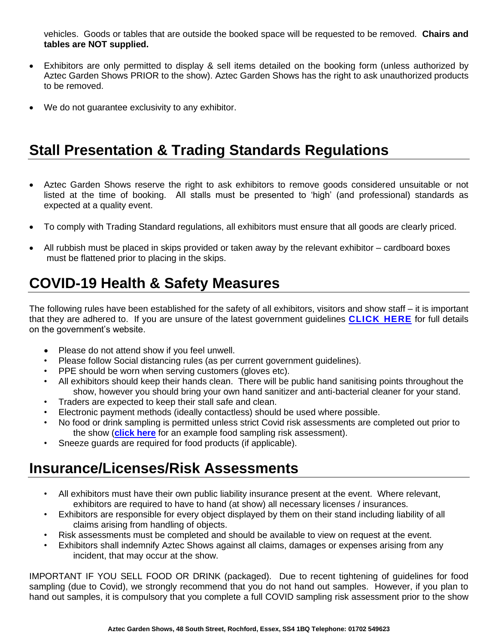vehicles. Goods or tables that are outside the booked space will be requested to be removed. **Chairs and tables are NOT supplied.**

- Exhibitors are only permitted to display & sell items detailed on the booking form (unless authorized by Aztec Garden Shows PRIOR to the show). Aztec Garden Shows has the right to ask unauthorized products to be removed.
- We do not guarantee exclusivity to any exhibitor.

#### **Stall Presentation & Trading Standards Regulations**

- Aztec Garden Shows reserve the right to ask exhibitors to remove goods considered unsuitable or not listed at the time of booking. All stalls must be presented to 'high' (and professional) standards as expected at a quality event.
- To comply with Trading Standard regulations, all exhibitors must ensure that all goods are clearly priced.
- All rubbish must be placed in skips provided or taken away by the relevant exhibitor cardboard boxes must be flattened prior to placing in the skips.

#### **COVID-19 Health & Safety Measures**

The following rules have been established for the safety of all exhibitors, visitors and show staff – it is important that they are adhered to. If you are unsure of the latest government guidelines **[CLICK](https://www.gov.uk/coronavirus) HERE** for full details on the government's website.

- Please do not attend show if you feel unwell.
- Please follow Social distancing rules (as per current government guidelines).
- PPE should be worn when serving customers (gloves etc).
- All exhibitors should keep their hands clean. There will be public hand sanitising points throughout the show, however you should bring your own hand sanitizer and anti-bacterial cleaner for your stand.
- Traders are expected to keep their stall safe and clean.
- Electronic payment methods (ideally contactless) should be used where possible.
- No food or drink sampling is permitted unless strict Covid risk assessments are completed out prior to the show (**[click here](https://cdn.asp.events/CLIENT_AEO_6F6DAB1E_5056_B739_5434FCD30E5F9143/sites/AEO/media/covid19/UPDATED%20Exhibitor%20Sampling%20COVID%20Risk%20Assessment%20Template.pdf)** for an example food sampling risk assessment).
- Sneeze guards are required for food products (if applicable).

#### **Insurance/Licenses/Risk Assessments**

- All exhibitors must have their own public liability insurance present at the event. Where relevant, exhibitors are required to have to hand (at show) all necessary licenses / insurances.
- Exhibitors are responsible for every object displayed by them on their stand including liability of all claims arising from handling of objects.
- Risk assessments must be completed and should be available to view on request at the event.
- Exhibitors shall indemnify Aztec Shows against all claims, damages or expenses arising from any incident, that may occur at the show.

IMPORTANT IF YOU SELL FOOD OR DRINK (packaged). Due to recent tightening of guidelines for food sampling (due to Covid), we strongly recommend that you do not hand out samples. However, if you plan to hand out samples, it is compulsory that you complete a full COVID sampling risk assessment prior to the show